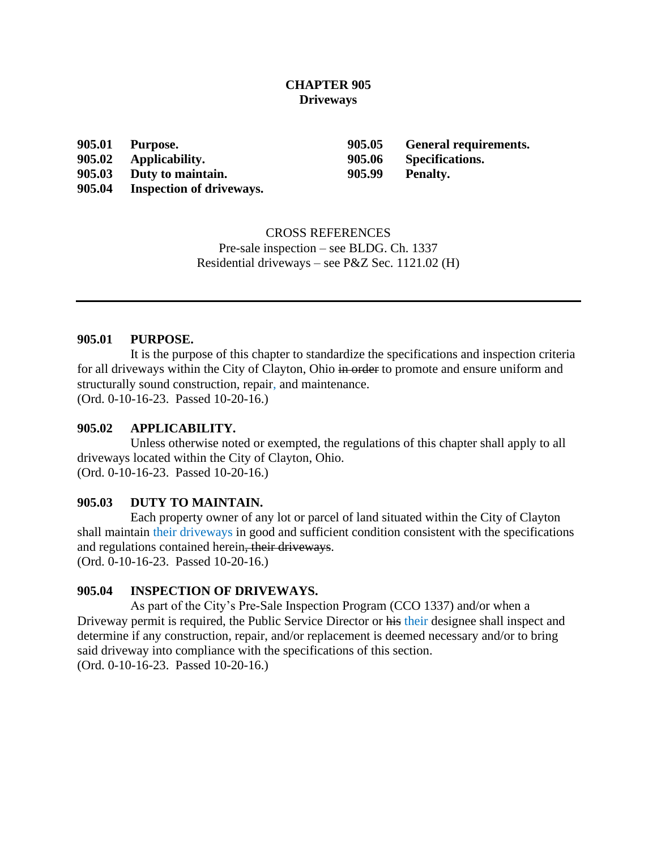## **CHAPTER 905 Driveways**

**905.02 Applicability. 905.06 Specifications.**

**905.03 Duty to maintain. 905.99 Penalty.**

**905.04 Inspection of driveways.**

**905.01 Purpose. 905.05 General requirements.**

CROSS REFERENCES Pre-sale inspection – see BLDG. Ch. 1337 Residential driveways – see P&Z Sec. 1121.02 (H)

### **905.01 PURPOSE.**

It is the purpose of this chapter to standardize the specifications and inspection criteria for all driveways within the City of Clayton, Ohio in order to promote and ensure uniform and structurally sound construction, repair, and maintenance. (Ord. 0-10-16-23. Passed 10-20-16.)

## **905.02 APPLICABILITY.**

Unless otherwise noted or exempted, the regulations of this chapter shall apply to all driveways located within the City of Clayton, Ohio. (Ord. 0-10-16-23. Passed 10-20-16.)

# **905.03 DUTY TO MAINTAIN.**

Each property owner of any lot or parcel of land situated within the City of Clayton shall maintain their driveways in good and sufficient condition consistent with the specifications and regulations contained herein, their driveways. (Ord. 0-10-16-23. Passed 10-20-16.)

# **905.04 INSPECTION OF DRIVEWAYS.**

As part of the City's Pre-Sale Inspection Program (CCO 1337) and/or when a Driveway permit is required, the Public Service Director or his their designee shall inspect and determine if any construction, repair, and/or replacement is deemed necessary and/or to bring said driveway into compliance with the specifications of this section. (Ord. 0-10-16-23. Passed 10-20-16.)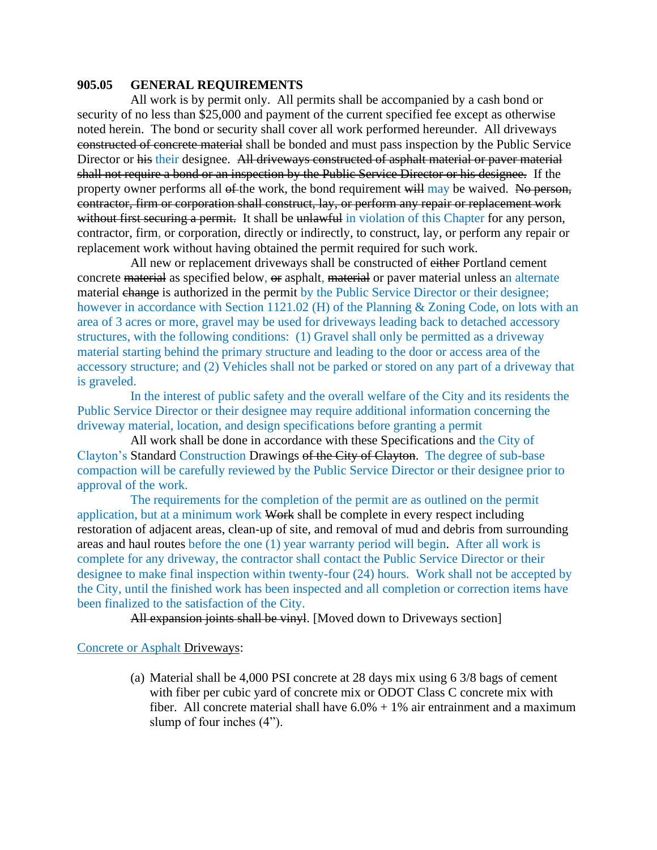### **905.05 GENERAL REQUIREMENTS**

All work is by permit only. All permits shall be accompanied by a cash bond or security of no less than \$25,000 and payment of the current specified fee except as otherwise noted herein. The bond or security shall cover all work performed hereunder. All driveways constructed of concrete material shall be bonded and must pass inspection by the Public Service Director or his their designee. All driveways constructed of asphalt material or paver material shall not require a bond or an inspection by the Public Service Director or his designee. If the property owner performs all of the work, the bond requirement will may be waived. No person, contractor, firm or corporation shall construct, lay, or perform any repair or replacement work without first securing a permit. It shall be unlawful in violation of this Chapter for any person, contractor, firm, or corporation, directly or indirectly, to construct, lay, or perform any repair or replacement work without having obtained the permit required for such work.

All new or replacement driveways shall be constructed of either Portland cement concrete material as specified below, or asphalt, material or paver material unless an alternate material change is authorized in the permit by the Public Service Director or their designee; however in accordance with Section 1121.02 (H) of the Planning & Zoning Code, on lots with an area of 3 acres or more, gravel may be used for driveways leading back to detached accessory structures, with the following conditions: (1) Gravel shall only be permitted as a driveway material starting behind the primary structure and leading to the door or access area of the accessory structure; and (2) Vehicles shall not be parked or stored on any part of a driveway that is graveled.

In the interest of public safety and the overall welfare of the City and its residents the Public Service Director or their designee may require additional information concerning the driveway material, location, and design specifications before granting a permit

All work shall be done in accordance with these Specifications and the City of Clayton's Standard Construction Drawings of the City of Clayton. The degree of sub-base compaction will be carefully reviewed by the Public Service Director or their designee prior to approval of the work.

The requirements for the completion of the permit are as outlined on the permit application, but at a minimum work Work shall be complete in every respect including restoration of adjacent areas, clean-up of site, and removal of mud and debris from surrounding areas and haul routes before the one (1) year warranty period will begin. After all work is complete for any driveway, the contractor shall contact the Public Service Director or their designee to make final inspection within twenty-four (24) hours. Work shall not be accepted by the City, until the finished work has been inspected and all completion or correction items have been finalized to the satisfaction of the City.

All expansion joints shall be vinyl. [Moved down to Driveways section]

#### Concrete or Asphalt Driveways:

(a) Material shall be 4,000 PSI concrete at 28 days mix using 6 3/8 bags of cement with fiber per cubic yard of concrete mix or ODOT Class C concrete mix with fiber. All concrete material shall have  $6.0\% + 1\%$  air entrainment and a maximum slump of four inches (4").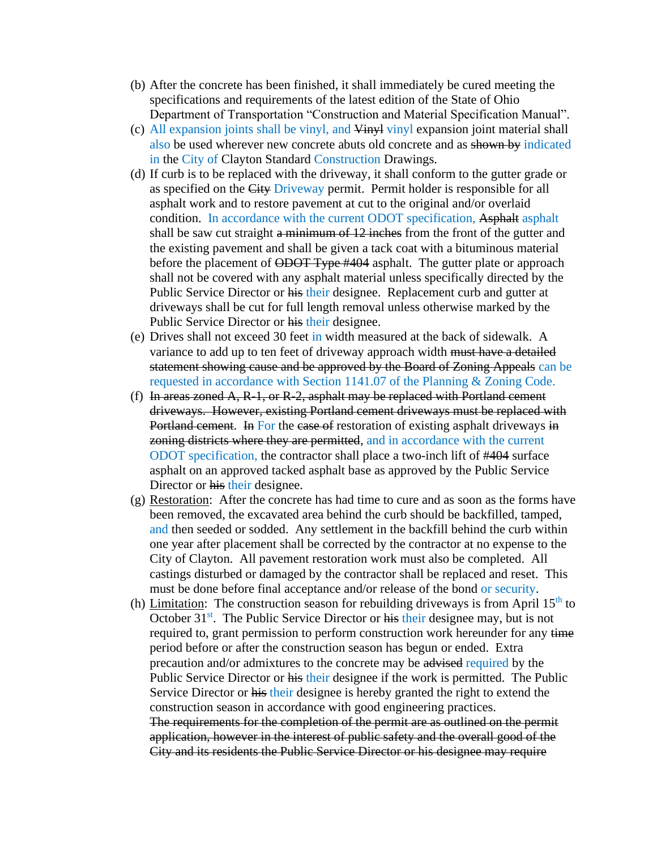- (b) After the concrete has been finished, it shall immediately be cured meeting the specifications and requirements of the latest edition of the State of Ohio Department of Transportation "Construction and Material Specification Manual".
- (c) All expansion joints shall be vinyl, and Vinyl vinyl expansion joint material shall also be used wherever new concrete abuts old concrete and as shown by indicated in the City of Clayton Standard Construction Drawings.
- (d) If curb is to be replaced with the driveway, it shall conform to the gutter grade or as specified on the City Driveway permit. Permit holder is responsible for all asphalt work and to restore pavement at cut to the original and/or overlaid condition. In accordance with the current ODOT specification, Asphalt asphalt shall be saw cut straight a minimum of 12 inches from the front of the gutter and the existing pavement and shall be given a tack coat with a bituminous material before the placement of ODOT Type #404 asphalt. The gutter plate or approach shall not be covered with any asphalt material unless specifically directed by the Public Service Director or his their designee. Replacement curb and gutter at driveways shall be cut for full length removal unless otherwise marked by the Public Service Director or his their designee.
- (e) Drives shall not exceed 30 feet in width measured at the back of sidewalk. A variance to add up to ten feet of driveway approach width must have a detailed statement showing cause and be approved by the Board of Zoning Appeals can be requested in accordance with Section 1141.07 of the Planning & Zoning Code.
- (f) In areas zoned A, R-1, or R-2, asphalt may be replaced with Portland cement driveways. However, existing Portland cement driveways must be replaced with Portland cement. In For the case of restoration of existing asphalt driveways in zoning districts where they are permitted, and in accordance with the current ODOT specification, the contractor shall place a two-inch lift of #404 surface asphalt on an approved tacked asphalt base as approved by the Public Service Director or his their designee.
- (g) Restoration: After the concrete has had time to cure and as soon as the forms have been removed, the excavated area behind the curb should be backfilled, tamped, and then seeded or sodded. Any settlement in the backfill behind the curb within one year after placement shall be corrected by the contractor at no expense to the City of Clayton. All pavement restoration work must also be completed. All castings disturbed or damaged by the contractor shall be replaced and reset. This must be done before final acceptance and/or release of the bond or security.
- (h) Limitation: The construction season for rebuilding driveways is from April  $15<sup>th</sup>$  to October  $31<sup>st</sup>$ . The Public Service Director or his their designee may, but is not required to, grant permission to perform construction work hereunder for any time period before or after the construction season has begun or ended. Extra precaution and/or admixtures to the concrete may be advised required by the Public Service Director or his their designee if the work is permitted. The Public Service Director or his their designee is hereby granted the right to extend the construction season in accordance with good engineering practices. The requirements for the completion of the permit are as outlined on the permit application, however in the interest of public safety and the overall good of the City and its residents the Public Service Director or his designee may require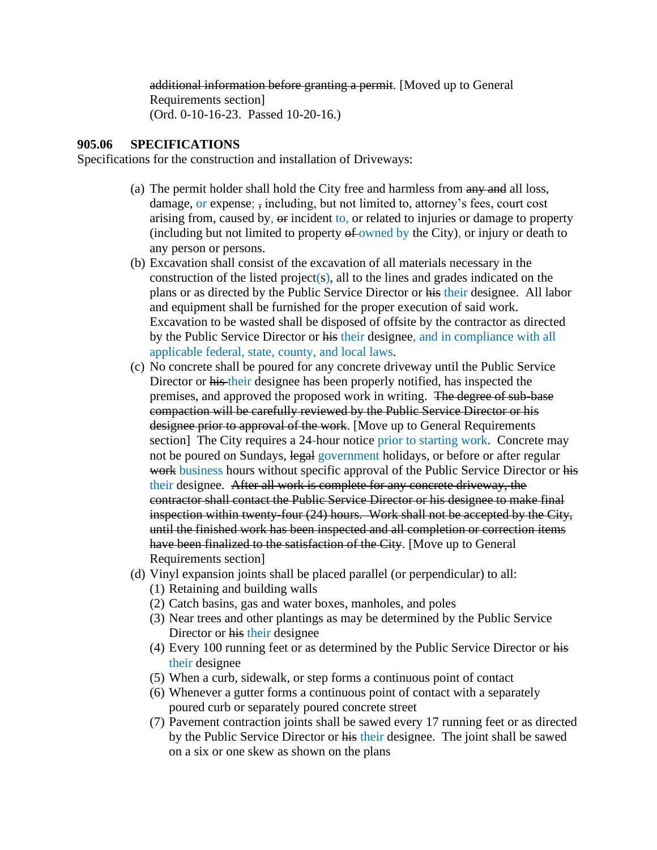additional information before granting a permit. [Moved up to General Requirements section] (Ord. 0-10-16-23. Passed 10-20-16.)

### **905.06 SPECIFICATIONS**

Specifications for the construction and installation of Driveways:

- (a) The permit holder shall hold the City free and harmless from any and all loss, damage, or expense; , including, but not limited to, attorney's fees, court cost arising from, caused by, or incident to, or related to injuries or damage to property (including but not limited to property  $\theta$  owned by the City), or injury or death to any person or persons.
- (b) Excavation shall consist of the excavation of all materials necessary in the construction of the listed project(s), all to the lines and grades indicated on the plans or as directed by the Public Service Director or his their designee. All labor and equipment shall be furnished for the proper execution of said work. Excavation to be wasted shall be disposed of offsite by the contractor as directed by the Public Service Director or his their designee, and in compliance with all applicable federal, state, county, and local laws.
- (c) No concrete shall be poured for any concrete driveway until the Public Service Director or his their designee has been properly notified, has inspected the premises, and approved the proposed work in writing. The degree of sub-base compaction will be carefully reviewed by the Public Service Director or his designee prior to approval of the work. [Move up to General Requirements section] The City requires a 24-hour notice prior to starting work. Concrete may not be poured on Sundays, legal government holidays, or before or after regular work business hours without specific approval of the Public Service Director or his their designee. After all work is complete for any concrete driveway, the contractor shall contact the Public Service Director or his designee to make final inspection within twenty-four (24) hours. Work shall not be accepted by the City, until the finished work has been inspected and all completion or correction items have been finalized to the satisfaction of the City. [Move up to General Requirements section]
- (d) Vinyl expansion joints shall be placed parallel (or perpendicular) to all:
	- (1) Retaining and building walls
	- (2) Catch basins, gas and water boxes, manholes, and poles
	- (3) Near trees and other plantings as may be determined by the Public Service Director or his their designee
	- (4) Every 100 running feet or as determined by the Public Service Director or his their designee
	- (5) When a curb, sidewalk, or step forms a continuous point of contact
	- (6) Whenever a gutter forms a continuous point of contact with a separately poured curb or separately poured concrete street
	- (7) Pavement contraction joints shall be sawed every 17 running feet or as directed by the Public Service Director or his their designee. The joint shall be sawed on a six or one skew as shown on the plans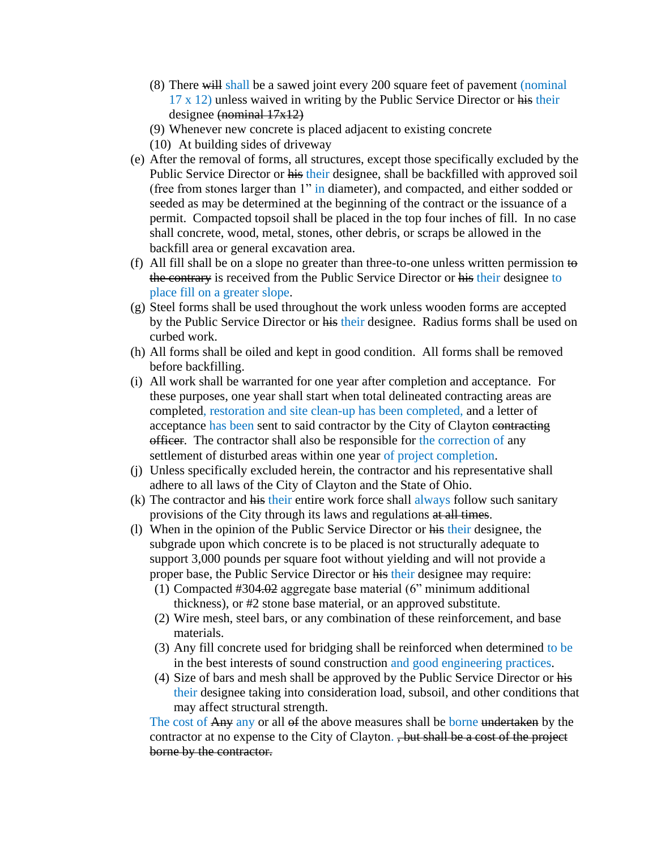- (8) There will shall be a sawed joint every 200 square feet of pavement (nominal 17 x 12) unless waived in writing by the Public Service Director or his their designee (nominal 17x12)
- (9) Whenever new concrete is placed adjacent to existing concrete
- (10) At building sides of driveway
- (e) After the removal of forms, all structures, except those specifically excluded by the Public Service Director or his their designee, shall be backfilled with approved soil (free from stones larger than 1" in diameter), and compacted, and either sodded or seeded as may be determined at the beginning of the contract or the issuance of a permit. Compacted topsoil shall be placed in the top four inches of fill. In no case shall concrete, wood, metal, stones, other debris, or scraps be allowed in the backfill area or general excavation area.
- (f) All fill shall be on a slope no greater than three-to-one unless written permission  $\leftrightarrow$ the contrary is received from the Public Service Director or his their designee to place fill on a greater slope.
- (g) Steel forms shall be used throughout the work unless wooden forms are accepted by the Public Service Director or his their designee. Radius forms shall be used on curbed work.
- (h) All forms shall be oiled and kept in good condition. All forms shall be removed before backfilling.
- (i) All work shall be warranted for one year after completion and acceptance. For these purposes, one year shall start when total delineated contracting areas are completed, restoration and site clean-up has been completed, and a letter of acceptance has been sent to said contractor by the City of Clayton contracting officer. The contractor shall also be responsible for the correction of any settlement of disturbed areas within one year of project completion.
- (j) Unless specifically excluded herein, the contractor and his representative shall adhere to all laws of the City of Clayton and the State of Ohio.
- (k) The contractor and his their entire work force shall always follow such sanitary provisions of the City through its laws and regulations at all times.
- (l) When in the opinion of the Public Service Director or his their designee, the subgrade upon which concrete is to be placed is not structurally adequate to support 3,000 pounds per square foot without yielding and will not provide a proper base, the Public Service Director or his their designee may require:
	- (1) Compacted #304.02 aggregate base material (6" minimum additional thickness), or #2 stone base material, or an approved substitute.
	- (2) Wire mesh, steel bars, or any combination of these reinforcement, and base materials.
	- (3) Any fill concrete used for bridging shall be reinforced when determined to be in the best interests of sound construction and good engineering practices.
	- (4) Size of bars and mesh shall be approved by the Public Service Director or his their designee taking into consideration load, subsoil, and other conditions that may affect structural strength.

The cost of Any any or all of the above measures shall be borne undertaken by the contractor at no expense to the City of Clayton. , but shall be a cost of the project borne by the contractor.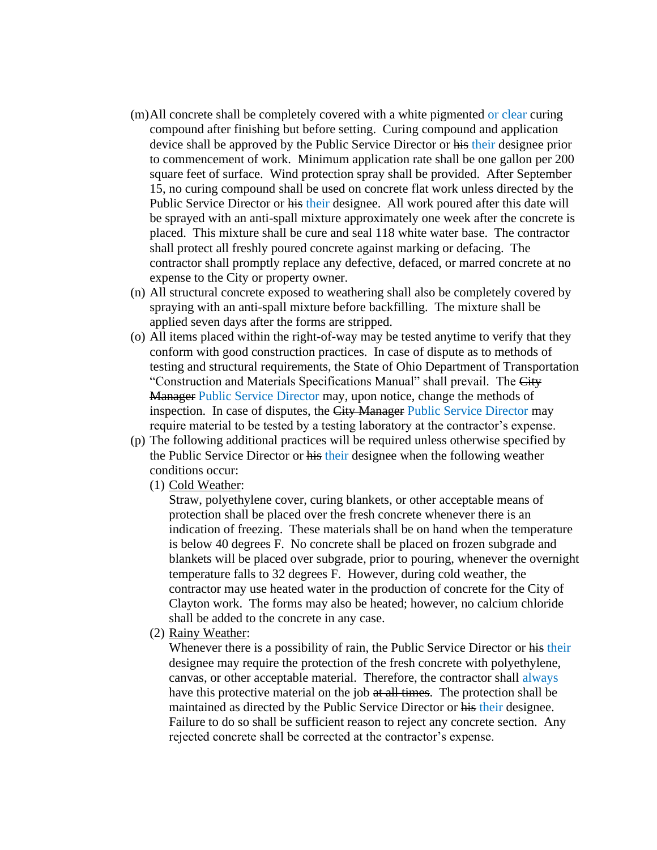- (m)All concrete shall be completely covered with a white pigmented or clear curing compound after finishing but before setting. Curing compound and application device shall be approved by the Public Service Director or his their designee prior to commencement of work. Minimum application rate shall be one gallon per 200 square feet of surface. Wind protection spray shall be provided. After September 15, no curing compound shall be used on concrete flat work unless directed by the Public Service Director or his their designee. All work poured after this date will be sprayed with an anti-spall mixture approximately one week after the concrete is placed. This mixture shall be cure and seal 118 white water base. The contractor shall protect all freshly poured concrete against marking or defacing. The contractor shall promptly replace any defective, defaced, or marred concrete at no expense to the City or property owner.
- (n) All structural concrete exposed to weathering shall also be completely covered by spraying with an anti-spall mixture before backfilling. The mixture shall be applied seven days after the forms are stripped.
- (o) All items placed within the right-of-way may be tested anytime to verify that they conform with good construction practices. In case of dispute as to methods of testing and structural requirements, the State of Ohio Department of Transportation "Construction and Materials Specifications Manual" shall prevail. The City Manager Public Service Director may, upon notice, change the methods of inspection. In case of disputes, the City Manager Public Service Director may require material to be tested by a testing laboratory at the contractor's expense.
- (p) The following additional practices will be required unless otherwise specified by the Public Service Director or his their designee when the following weather conditions occur:
	- (1) Cold Weather:

Straw, polyethylene cover, curing blankets, or other acceptable means of protection shall be placed over the fresh concrete whenever there is an indication of freezing. These materials shall be on hand when the temperature is below 40 degrees F. No concrete shall be placed on frozen subgrade and blankets will be placed over subgrade, prior to pouring, whenever the overnight temperature falls to 32 degrees F. However, during cold weather, the contractor may use heated water in the production of concrete for the City of Clayton work. The forms may also be heated; however, no calcium chloride shall be added to the concrete in any case.

(2) Rainy Weather:

Whenever there is a possibility of rain, the Public Service Director or his their designee may require the protection of the fresh concrete with polyethylene, canvas, or other acceptable material. Therefore, the contractor shall always have this protective material on the job at all times. The protection shall be maintained as directed by the Public Service Director or his their designee. Failure to do so shall be sufficient reason to reject any concrete section. Any rejected concrete shall be corrected at the contractor's expense.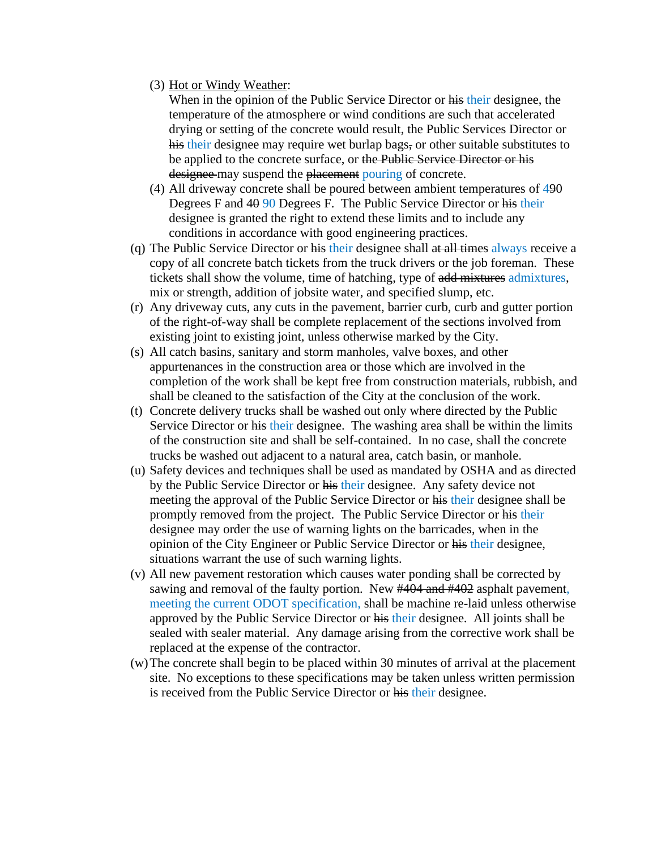(3) Hot or Windy Weather:

When in the opinion of the Public Service Director or his their designee, the temperature of the atmosphere or wind conditions are such that accelerated drying or setting of the concrete would result, the Public Services Director or his their designee may require wet burlap bags, or other suitable substitutes to be applied to the concrete surface, or the Public Service Director or his designee may suspend the placement pouring of concrete.

- (4) All driveway concrete shall be poured between ambient temperatures of 490 Degrees F and 40 90 Degrees F. The Public Service Director or his their designee is granted the right to extend these limits and to include any conditions in accordance with good engineering practices.
- (q) The Public Service Director or his their designee shall at all times always receive a copy of all concrete batch tickets from the truck drivers or the job foreman. These tickets shall show the volume, time of hatching, type of add mixtures admixtures, mix or strength, addition of jobsite water, and specified slump, etc.
- (r) Any driveway cuts, any cuts in the pavement, barrier curb, curb and gutter portion of the right-of-way shall be complete replacement of the sections involved from existing joint to existing joint, unless otherwise marked by the City.
- (s) All catch basins, sanitary and storm manholes, valve boxes, and other appurtenances in the construction area or those which are involved in the completion of the work shall be kept free from construction materials, rubbish, and shall be cleaned to the satisfaction of the City at the conclusion of the work.
- (t) Concrete delivery trucks shall be washed out only where directed by the Public Service Director or his their designee. The washing area shall be within the limits of the construction site and shall be self-contained. In no case, shall the concrete trucks be washed out adjacent to a natural area, catch basin, or manhole.
- (u) Safety devices and techniques shall be used as mandated by OSHA and as directed by the Public Service Director or his their designee. Any safety device not meeting the approval of the Public Service Director or his their designee shall be promptly removed from the project. The Public Service Director or his their designee may order the use of warning lights on the barricades, when in the opinion of the City Engineer or Public Service Director or his their designee, situations warrant the use of such warning lights.
- (v) All new pavement restoration which causes water ponding shall be corrected by sawing and removal of the faulty portion. New #404 and #402 asphalt pavement, meeting the current ODOT specification, shall be machine re-laid unless otherwise approved by the Public Service Director or his their designee. All joints shall be sealed with sealer material. Any damage arising from the corrective work shall be replaced at the expense of the contractor.
- (w)The concrete shall begin to be placed within 30 minutes of arrival at the placement site. No exceptions to these specifications may be taken unless written permission is received from the Public Service Director or his their designee.